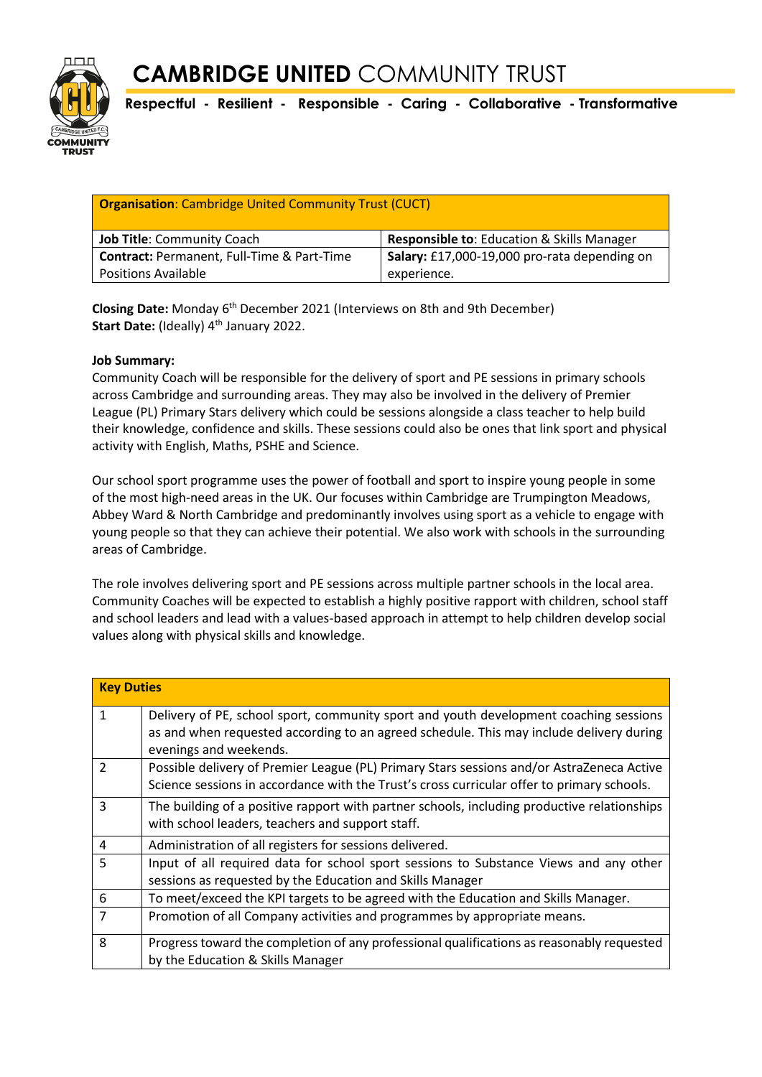

**Respectful - Resilient - Responsible - Caring - Collaborative - Transformative**

| <b>Organisation:</b> Cambridge United Community Trust (CUCT) |                                                       |  |
|--------------------------------------------------------------|-------------------------------------------------------|--|
| <b>Job Title: Community Coach</b>                            | <b>Responsible to: Education &amp; Skills Manager</b> |  |
| <b>Contract: Permanent, Full-Time &amp; Part-Time</b>        | Salary: £17,000-19,000 pro-rata depending on          |  |
| <b>Positions Available</b>                                   | experience.                                           |  |

Closing Date: Monday 6<sup>th</sup> December 2021 (Interviews on 8th and 9th December) Start Date: (Ideally) 4<sup>th</sup> January 2022.

### **Job Summary:**

Community Coach will be responsible for the delivery of sport and PE sessions in primary schools across Cambridge and surrounding areas. They may also be involved in the delivery of Premier League (PL) Primary Stars delivery which could be sessions alongside a class teacher to help build their knowledge, confidence and skills. These sessions could also be ones that link sport and physical activity with English, Maths, PSHE and Science.

Our school sport programme uses the power of football and sport to inspire young people in some of the most high-need areas in the UK. Our focuses within Cambridge are Trumpington Meadows, Abbey Ward & North Cambridge and predominantly involves using sport as a vehicle to engage with young people so that they can achieve their potential. We also work with schools in the surrounding areas of Cambridge.

The role involves delivering sport and PE sessions across multiple partner schools in the local area. Community Coaches will be expected to establish a highly positive rapport with children, school staff and school leaders and lead with a values-based approach in attempt to help children develop social values along with physical skills and knowledge.

| <b>Key Duties</b> |                                                                                                                                                                                                            |  |
|-------------------|------------------------------------------------------------------------------------------------------------------------------------------------------------------------------------------------------------|--|
| $\mathbf{1}$      | Delivery of PE, school sport, community sport and youth development coaching sessions<br>as and when requested according to an agreed schedule. This may include delivery during<br>evenings and weekends. |  |
| $\mathcal{P}$     | Possible delivery of Premier League (PL) Primary Stars sessions and/or AstraZeneca Active<br>Science sessions in accordance with the Trust's cross curricular offer to primary schools.                    |  |
| 3                 | The building of a positive rapport with partner schools, including productive relationships<br>with school leaders, teachers and support staff.                                                            |  |
| 4                 | Administration of all registers for sessions delivered.                                                                                                                                                    |  |
| 5                 | Input of all required data for school sport sessions to Substance Views and any other<br>sessions as requested by the Education and Skills Manager                                                         |  |
| 6                 | To meet/exceed the KPI targets to be agreed with the Education and Skills Manager.                                                                                                                         |  |
| 7                 | Promotion of all Company activities and programmes by appropriate means.                                                                                                                                   |  |
| 8                 | Progress toward the completion of any professional qualifications as reasonably requested<br>by the Education & Skills Manager                                                                             |  |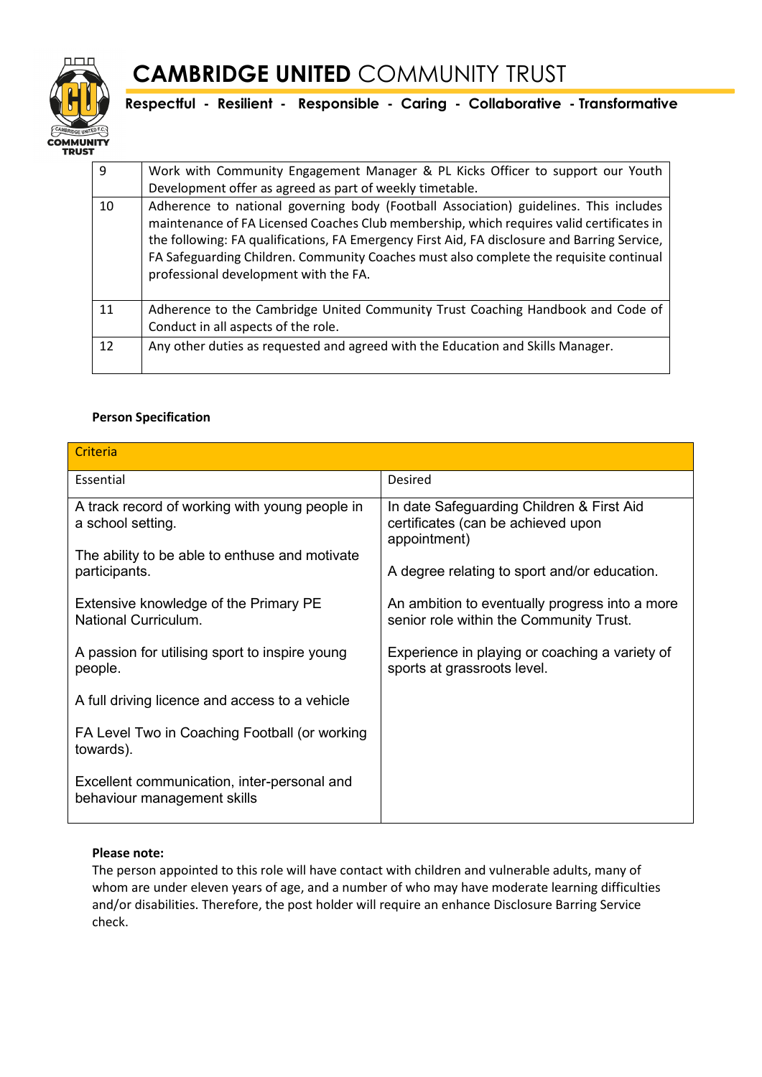

## **CAMBRIDGE UNITED** COMMUNITY TRUST

**Respectful - Resilient - Responsible - Caring - Collaborative - Transformative**

| 9  | Work with Community Engagement Manager & PL Kicks Officer to support our Youth<br>Development offer as agreed as part of weekly timetable.                                                                                                                                                                                                                                                                           |
|----|----------------------------------------------------------------------------------------------------------------------------------------------------------------------------------------------------------------------------------------------------------------------------------------------------------------------------------------------------------------------------------------------------------------------|
| 10 | Adherence to national governing body (Football Association) guidelines. This includes<br>maintenance of FA Licensed Coaches Club membership, which requires valid certificates in<br>the following: FA qualifications, FA Emergency First Aid, FA disclosure and Barring Service,<br>FA Safeguarding Children. Community Coaches must also complete the requisite continual<br>professional development with the FA. |
| 11 | Adherence to the Cambridge United Community Trust Coaching Handbook and Code of<br>Conduct in all aspects of the role.                                                                                                                                                                                                                                                                                               |
| 12 | Any other duties as requested and agreed with the Education and Skills Manager.                                                                                                                                                                                                                                                                                                                                      |

### **Person Specification**

| Criteria                                                                   |                                                                                                                                                 |  |
|----------------------------------------------------------------------------|-------------------------------------------------------------------------------------------------------------------------------------------------|--|
| Essential                                                                  | Desired                                                                                                                                         |  |
| A track record of working with young people in<br>a school setting.        | In date Safeguarding Children & First Aid<br>certificates (can be achieved upon<br>appointment)<br>A degree relating to sport and/or education. |  |
| The ability to be able to enthuse and motivate<br>participants.            |                                                                                                                                                 |  |
| Extensive knowledge of the Primary PE<br>National Curriculum.              | An ambition to eventually progress into a more<br>senior role within the Community Trust.                                                       |  |
| A passion for utilising sport to inspire young<br>people.                  | Experience in playing or coaching a variety of<br>sports at grassroots level.                                                                   |  |
| A full driving licence and access to a vehicle                             |                                                                                                                                                 |  |
| FA Level Two in Coaching Football (or working<br>towards).                 |                                                                                                                                                 |  |
| Excellent communication, inter-personal and<br>behaviour management skills |                                                                                                                                                 |  |

### **Please note:**

The person appointed to this role will have contact with children and vulnerable adults, many of whom are under eleven years of age, and a number of who may have moderate learning difficulties and/or disabilities. Therefore, the post holder will require an enhance Disclosure Barring Service check.